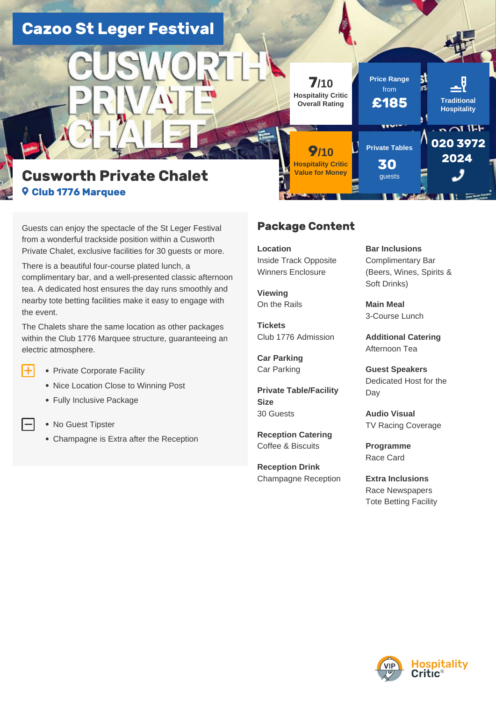# **Cazoo St Leger Festival**



# **Cusworth Private Chalet Club 1776 Marquee**

Guests can enjoy the spectacle of the St Leger Festival from a wonderful trackside position within a Cusworth Private Chalet, exclusive facilities for 30 guests or more.

There is a beautiful four-course plated lunch, a complimentary bar, and a well-presented classic afternoon tea. A dedicated host ensures the day runs smoothly and nearby tote betting facilities make it easy to engage with the event.

The Chalets share the same location as other packages within the Club 1776 Marquee structure, guaranteeing an electric atmosphere.

- Œ • Private Corporate Facility
	- Nice Location Close to Winning Post
	- Fully Inclusive Package
	- No Guest Tipster
	- Champagne is Extra after the Reception

### **Package Content**

**7/10 Hospitality Critic Overall Rating**

**9/10 Hospitality Critic Value for Money**

**Location**  Inside Track Opposite Winners Enclosure

**Viewing**  On the Rails

**Tickets**  Club 1776 Admission

**Car Parking**  Car Parking

**Private Table/Facility Size**  30 Guests

**Reception Catering**  Coffee & Biscuits

**Reception Drink**  Champagne Reception **Bar Inclusions**  Complimentary Bar (Beers, Wines, Spirits & Soft Drinks)

**Main Meal**  3-Course Lunch

**Price Range** from

**Private Tables**

ww

**30**  guests

**£185 Traditional**

Ы īs

**Hospitality**

**020 3972 2024** 

 $\sim$   $\sim$  TEF

**Additional Catering**  Afternoon Tea

**Guest Speakers**  Dedicated Host for the Day

**Audio Visual**  TV Racing Coverage

**Programme**  Race Card

**Extra Inclusions**  Race Newspapers Tote Betting Facility

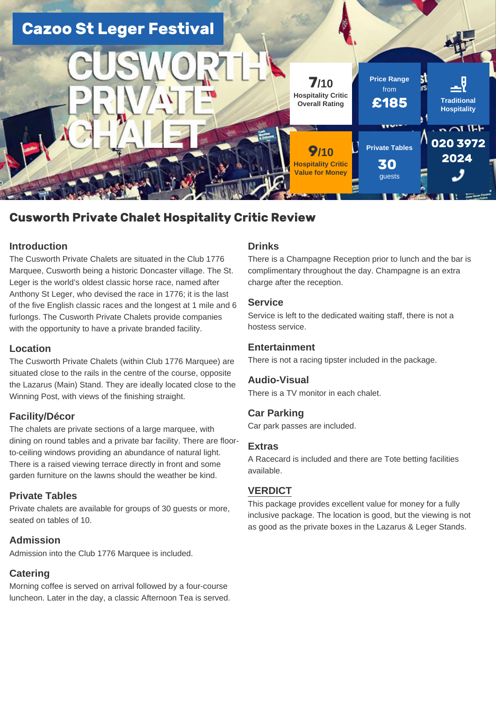

## **Cusworth Private Chalet Hospitality Critic Review**

### **Introduction**

The Cusworth Private Chalets are situated in the Club 1776 Marquee, Cusworth being a historic Doncaster village. The St. Leger is the world's oldest classic horse race, named after Anthony St Leger, who devised the race in 1776; it is the last of the five English classic races and the longest at 1 mile and 6 furlongs. The Cusworth Private Chalets provide companies with the opportunity to have a private branded facility.

### **Location**

The Cusworth Private Chalets (within Club 1776 Marquee) are situated close to the rails in the centre of the course, opposite the Lazarus (Main) Stand. They are ideally located close to the Winning Post, with views of the finishing straight.

### **Facility/Décor**

The chalets are private sections of a large marquee, with dining on round tables and a private bar facility. There are floorto-ceiling windows providing an abundance of natural light. There is a raised viewing terrace directly in front and some garden furniture on the lawns should the weather be kind.

### **Private Tables**

Private chalets are available for groups of 30 guests or more, seated on tables of 10.

### **Admission**

Admission into the Club 1776 Marquee is included.

### **Catering**

Morning coffee is served on arrival followed by a four-course luncheon. Later in the day, a classic Afternoon Tea is served.

#### **Drinks**

There is a Champagne Reception prior to lunch and the bar is complimentary throughout the day. Champagne is an extra charge after the reception.

### **Service**

Service is left to the dedicated waiting staff, there is not a hostess service.

### **Entertainment**

There is not a racing tipster included in the package.

#### **Audio-Visual**

There is a TV monitor in each chalet.

### **Car Parking**

Car park passes are included.

### **Extras**

A Racecard is included and there are Tote betting facilities available.

### **VERDICT**

This package provides excellent value for money for a fully inclusive package. The location is good, but the viewing is not as good as the private boxes in the Lazarus & Leger Stands.